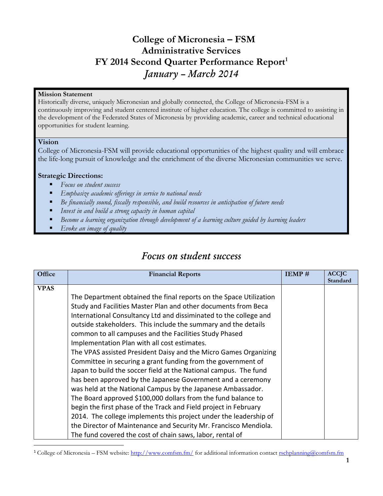### **College of Micronesia – FSM Administrative Services FY 2014 Second Quarter Performance Report<sup>1</sup>** *January – March 2014*

### **Mission Statement**

Historically diverse, uniquely Micronesian and globally connected, the College of Micronesia-FSM is a continuously improving and student centered institute of higher education. The college is committed to assisting in the development of the Federated States of Micronesia by providing academic, career and technical educational opportunities for student learning.

### **Vision**

College of Micronesia-FSM will provide educational opportunities of the highest quality and will embrace the life-long pursuit of knowledge and the enrichment of the diverse Micronesian communities we serve.

### **Strategic Directions:**

- *Focus on student success*
- *Emphasize academic offerings in service to national needs*
- *Be financially sound, fiscally responsible, and build resources in anticipation of future needs*
- *Invest in and build a strong capacity in human capital*
- *Become a learning organization through development of a learning culture guided by learning leaders*
- *Evoke an image of quality*

### *Focus on student success*

| <b>VPAS</b><br>The Department obtained the final reports on the Space Utilization<br>Study and Facilities Master Plan and other documents from Beca<br>International Consultancy Ltd and dissiminated to the college and<br>outside stakeholders. This include the summary and the details                                                                                                                                                                                                                                                                                                                                                                                                                                                                                              |          |
|-----------------------------------------------------------------------------------------------------------------------------------------------------------------------------------------------------------------------------------------------------------------------------------------------------------------------------------------------------------------------------------------------------------------------------------------------------------------------------------------------------------------------------------------------------------------------------------------------------------------------------------------------------------------------------------------------------------------------------------------------------------------------------------------|----------|
|                                                                                                                                                                                                                                                                                                                                                                                                                                                                                                                                                                                                                                                                                                                                                                                         | Standard |
| common to all campuses and the Facilities Study Phased<br>Implementation Plan with all cost estimates.<br>The VPAS assisted President Daisy and the Micro Games Organizing<br>Committee in securing a grant funding from the government of<br>Japan to build the soccer field at the National campus. The fund<br>has been approved by the Japanese Government and a ceremony<br>was held at the National Campus by the Japanese Ambassador.<br>The Board approved \$100,000 dollars from the fund balance to<br>begin the first phase of the Track and Field project in February<br>2014. The college implements this project under the leadership of<br>the Director of Maintenance and Security Mr. Francisco Mendiola.<br>The fund covered the cost of chain saws, labor, rental of |          |

<sup>&</sup>lt;sup>1</sup> College of Micronesia – FSM website:<http://www.comfsm.fm/> for additional information contact [rschplanning@comfsm.fm](mailto:rschplanning@comfsm.fm)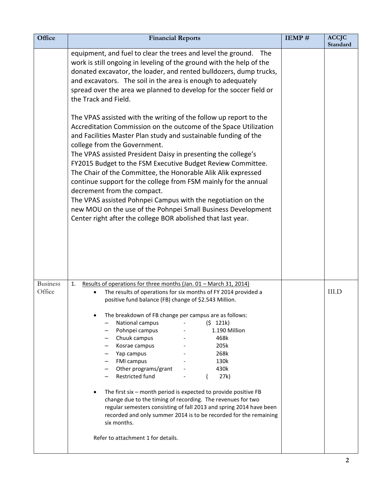| Office                    | <b>Financial Reports</b>                                                                                                                                                                                                                                                                                                                                                                                                                                                                                                                                                                                                                                                                                                                                                                                                        | IEMP# | <b>ACCJC</b><br>Standard |
|---------------------------|---------------------------------------------------------------------------------------------------------------------------------------------------------------------------------------------------------------------------------------------------------------------------------------------------------------------------------------------------------------------------------------------------------------------------------------------------------------------------------------------------------------------------------------------------------------------------------------------------------------------------------------------------------------------------------------------------------------------------------------------------------------------------------------------------------------------------------|-------|--------------------------|
|                           | equipment, and fuel to clear the trees and level the ground. The<br>work is still ongoing in leveling of the ground with the help of the<br>donated excavator, the loader, and rented bulldozers, dump trucks,<br>and excavators. The soil in the area is enough to adequately<br>spread over the area we planned to develop for the soccer field or<br>the Track and Field.<br>The VPAS assisted with the writing of the follow up report to the<br>Accreditation Commission on the outcome of the Space Utilization<br>and Facilities Master Plan study and sustainable funding of the                                                                                                                                                                                                                                        |       |                          |
|                           | college from the Government.<br>The VPAS assisted President Daisy in presenting the college's<br>FY2015 Budget to the FSM Executive Budget Review Committee.<br>The Chair of the Committee, the Honorable Alik Alik expressed<br>continue support for the college from FSM mainly for the annual<br>decrement from the compact.<br>The VPAS assisted Pohnpei Campus with the negotiation on the<br>new MOU on the use of the Pohnpei Small Business Development<br>Center right after the college BOR abolished that last year.                                                                                                                                                                                                                                                                                                 |       |                          |
| <b>Business</b><br>Office | Results of operations for three months (Jan. 01 - March 31, 2014)<br>1.<br>The results of operations for six months of FY 2014 provided a<br>positive fund balance (FB) change of \$2.543 Million.<br>The breakdown of FB change per campus are as follows:<br>National campus<br>(5 121k)<br>Pohnpei campus<br>1.190 Million<br>Chuuk campus<br>468k<br>Kosrae campus<br>205k<br>Yap campus<br>268k<br><b>FMI campus</b><br>130k<br>Other programs/grant<br>430k<br>Restricted fund<br>27k)<br>The first six - month period is expected to provide positive FB<br>change due to the timing of recording. The revenues for two<br>regular semesters consisting of fall 2013 and spring 2014 have been<br>recorded and only summer 2014 is to be recorded for the remaining<br>six months.<br>Refer to attachment 1 for details. |       | <b>III.D</b>             |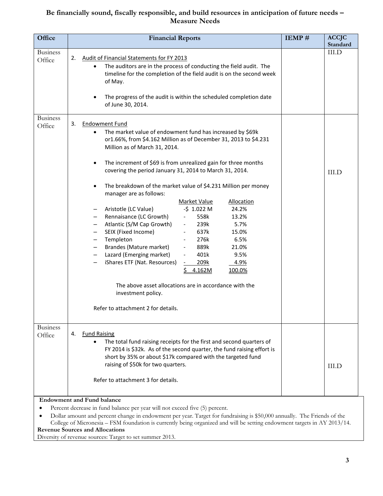### **Be financially sound, fiscally responsible, and build resources in anticipation of future needs – Measure Needs**

| Office                    | <b>Financial Reports</b>                                                                                                                                                                                                                                                                                                                                                                                                                                                                                                                                                                                                                                                                                                                                                                                                                                                                                                                                                                                                                                                                                               | IEMP# | <b>ACCJC</b><br>Standard |
|---------------------------|------------------------------------------------------------------------------------------------------------------------------------------------------------------------------------------------------------------------------------------------------------------------------------------------------------------------------------------------------------------------------------------------------------------------------------------------------------------------------------------------------------------------------------------------------------------------------------------------------------------------------------------------------------------------------------------------------------------------------------------------------------------------------------------------------------------------------------------------------------------------------------------------------------------------------------------------------------------------------------------------------------------------------------------------------------------------------------------------------------------------|-------|--------------------------|
| <b>Business</b><br>Office | <b>Audit of Financial Statements for FY 2013</b><br>2.<br>The auditors are in the process of conducting the field audit. The<br>timeline for the completion of the field audit is on the second week<br>of May.<br>The progress of the audit is within the scheduled completion date<br>of June 30, 2014.                                                                                                                                                                                                                                                                                                                                                                                                                                                                                                                                                                                                                                                                                                                                                                                                              |       | <b>III.D</b>             |
| <b>Business</b><br>Office | 3.<br><b>Endowment Fund</b><br>The market value of endowment fund has increased by \$69k<br>or1.66%, from \$4.162 Million as of December 31, 2013 to \$4.231<br>Million as of March 31, 2014.<br>The increment of \$69 is from unrealized gain for three months<br>$\bullet$<br>covering the period January 31, 2014 to March 31, 2014.<br>The breakdown of the market value of \$4.231 Million per money<br>manager are as follows:<br>Market Value<br><b>Allocation</b><br>$-5$ 1.022 M<br>24.2%<br>Aristotle (LC Value)<br>Rennaisance (LC Growth)<br>558k<br>13.2%<br>$\overline{\phantom{a}}$<br>Atlantic (S/M Cap Growth)<br>239k<br>5.7%<br>$\overline{\phantom{0}}$<br>SEIX (Fixed Income)<br>637k<br>15.0%<br>$\overline{\phantom{a}}$<br>Templeton<br>276k<br>6.5%<br>Brandes (Mature market)<br>889k<br>21.0%<br>$\overline{\phantom{a}}$<br>Lazard (Emerging market)<br>401k<br>9.5%<br>$\overline{\phantom{a}}$<br>iShares ETF (Nat. Resources)<br>209k<br>4.9%<br>4.162M<br>100.0%<br>The above asset allocations are in accordance with the<br>investment policy.<br>Refer to attachment 2 for details. |       | <b>III.D</b>             |
| <b>Business</b><br>Office | <b>Fund Raising</b><br>4.<br>The total fund raising receipts for the first and second quarters of<br>$\bullet$<br>FY 2014 is \$32k. As of the second quarter, the fund raising effort is<br>short by 35% or about \$17k compared with the targeted fund<br>raising of \$50k for two quarters.<br>Refer to attachment 3 for details.<br><b>Endowment and Fund balance</b>                                                                                                                                                                                                                                                                                                                                                                                                                                                                                                                                                                                                                                                                                                                                               |       | III.D                    |
| ٠                         | Percent decrease in fund balance per year will not exceed five (5) percent.                                                                                                                                                                                                                                                                                                                                                                                                                                                                                                                                                                                                                                                                                                                                                                                                                                                                                                                                                                                                                                            |       |                          |

 Dollar amount and percent change in endowment per year. Target for fundraising is \$50,000 annually. The Friends of the College of Micronesia – FSM foundation is currently being organized and will be setting endowment targets in AY 2013/14.

### **Revenue Sources and Allocations**

Diversity of revenue sources: Target to set summer 2013.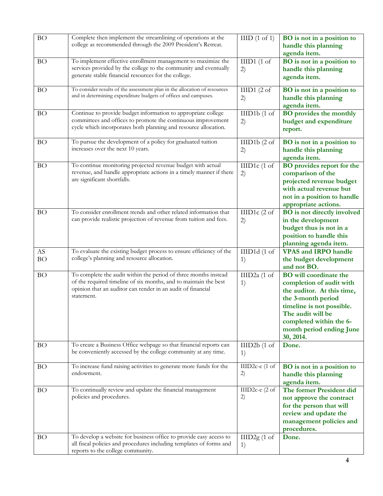| <b>BO</b>       | Complete then implement the streamlining of operations at the<br>college as recommended through the 2009 President's Retreat.                                                                                    | HID(1 of 1)          | BO is not in a position to<br>handle this planning<br>agenda item.                                                                                                                                                                  |
|-----------------|------------------------------------------------------------------------------------------------------------------------------------------------------------------------------------------------------------------|----------------------|-------------------------------------------------------------------------------------------------------------------------------------------------------------------------------------------------------------------------------------|
| <b>BO</b>       | To implement effective enrollment management to maximize the<br>services provided by the college to the community and eventually<br>generate stable financial resources for the college.                         | IIID1(1 of<br>2)     | BO is not in a position to<br>handle this planning<br>agenda item.                                                                                                                                                                  |
| BO              | To consider results of the assessment plan in the allocation of resources<br>and in determining expenditure budgets of offices and campuses.                                                                     | IIID1(2 of<br>2)     | BO is not in a position to<br>handle this planning<br>agenda item.                                                                                                                                                                  |
| <b>BO</b>       | Continue to provide budget information to appropriate college<br>committees and offices to promote the continuous improvement<br>cycle which incorporates both planning and resource allocation.                 | IIID1b(1 of<br>2)    | <b>BO</b> provides the monthly<br>budget and expenditure<br>report.                                                                                                                                                                 |
| <b>BO</b>       | To pursue the development of a policy for graduated tuition<br>increases over the next 10 years.                                                                                                                 | IIID1b(2 of<br>2)    | BO is not in a position to<br>handle this planning<br>agenda item.                                                                                                                                                                  |
| <b>BO</b>       | To continue monitoring projected revenue budget with actual<br>revenue, and handle appropriate actions in a timely manner if there<br>are significant shortfalls.                                                | IIID1c (1 of<br>2)   | <b>BO</b> provides report for the<br>comparison of the<br>projected revenue budget<br>with actual revenue but<br>not in a position to handle<br>appropriate actions.                                                                |
| <b>BO</b>       | To consider enrollment trends and other related information that<br>can provide realistic projection of revenue from tuition and fees.                                                                           | IIID1 $c(2$ of<br>2) | <b>BO</b> is not directly involved<br>in the development<br>budget thus is not in a<br>position to handle this<br>planning agenda item.                                                                                             |
| AS<br><b>BO</b> | To evaluate the existing budget process to ensure efficiency of the<br>college's planning and resource allocation.                                                                                               | IIID1d(1 of<br>1)    | <b>VPAS and IRPO handle</b><br>the budget development<br>and not BO.                                                                                                                                                                |
| <b>BO</b>       | To complete the audit within the period of three months instead<br>of the required timeline of six months, and to maintain the best<br>opinion that an auditor can render in an audit of financial<br>statement. | IIID2a (1 of<br>1)   | <b>BO</b> will coordinate the<br>completion of audit with<br>the auditor. At this time,<br>the 3-month period<br>timeline is not possible.<br>The audit will be<br>completed within the 6-<br>month period ending June<br>30, 2014. |
| <b>BO</b>       | To create a Business Office webpage so that financial reports can<br>be conveniently accessed by the college community at any time.                                                                              | IIID2b(1 of<br>1)    | Done.                                                                                                                                                                                                                               |
| BO              | To increase fund raising activities to generate more funds for the<br>endowment.                                                                                                                                 | IIID2c-e (1 of<br>2) | BO is not in a position to<br>handle this planning<br>agenda item.                                                                                                                                                                  |
| <b>BO</b>       | To continually review and update the financial management<br>policies and procedures.                                                                                                                            | IIID2c-e (2 of<br>2) | The former President did<br>not approve the contract<br>for the person that will<br>review and update the<br>management policies and<br>procedures.                                                                                 |
| <b>BO</b>       | To develop a website for business office to provide easy access to<br>all fiscal policies and procedures including templates of forms and<br>reports to the college community.                                   | IIID2g(1 of<br>1)    | Done.                                                                                                                                                                                                                               |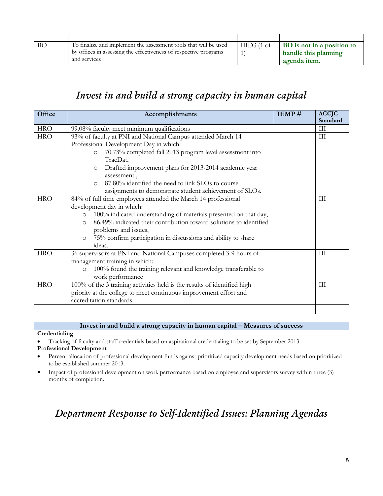| BO | To finalize and implement the assessment tools that will be used | IIID3(1 of | <b>BO</b> is not in a position to |
|----|------------------------------------------------------------------|------------|-----------------------------------|
|    | by offices in assessing the effectiveness of respective programs |            | handle this planning              |
|    | and services                                                     |            | agenda item.                      |

### *Invest in and build a strong capacity in human capital*

| Office     | Accomplishments                                                               | IEMP# | <b>ACCJC</b><br>Standard |
|------------|-------------------------------------------------------------------------------|-------|--------------------------|
| <b>HRO</b> | 99.08% faculty meet minimum qualifications                                    |       | $\rm III$                |
| <b>HRO</b> | 93% of faculty at PNI and National Campus attended March 14                   |       | $\rm III$                |
|            | Professional Development Day in which:                                        |       |                          |
|            | 70.73% completed fall 2013 program level assessment into<br>$\circ$           |       |                          |
|            | TracDat,                                                                      |       |                          |
|            | Drafted improvement plans for 2013-2014 academic year<br>$\circ$              |       |                          |
|            | assessment,                                                                   |       |                          |
|            | 87.80% identified the need to link SLOs to course<br>$\circ$                  |       |                          |
|            | assignments to demonstrate student achievement of SLOs.                       |       |                          |
| <b>HRO</b> | 84% of full time employees attended the March 14 professional                 |       | III                      |
|            | development day in which:                                                     |       |                          |
|            | 100% indicated understanding of materials presented on that day,<br>$\circ$   |       |                          |
|            | 86.49% indicated their contribution toward solutions to identified<br>$\circ$ |       |                          |
|            | problems and issues,                                                          |       |                          |
|            | 75% confirm participation in discussions and ability to share<br>$\circ$      |       |                          |
|            | ideas.                                                                        |       |                          |
| <b>HRO</b> | 36 supervisors at PNI and National Campuses completed 3-9 hours of            |       | III                      |
|            | management training in which:                                                 |       |                          |
|            | 100% found the training relevant and knowledge transferable to<br>$\circ$     |       |                          |
|            | work performance                                                              |       |                          |
| <b>HRO</b> | 100% of the 3 training activities held is the results of identified high      |       | III                      |
|            | priority at the college to meet continuous improvement effort and             |       |                          |
|            | accreditation standards.                                                      |       |                          |
|            |                                                                               |       |                          |

**Invest in and build a strong capacity in human capital – Measures of success Credentialing**

 Tracking of faculty and staff credentials based on aspirational credentialing to be set by September 2013 **Professional Development**

 Percent allocation of professional development funds against prioritized capacity development needs based on prioritized to be established summer 2013.

 Impact of professional development on work performance based on employee and supervisors survey within three (3) months of completion.

## *Department Response to Self-Identified Issues: Planning Agendas*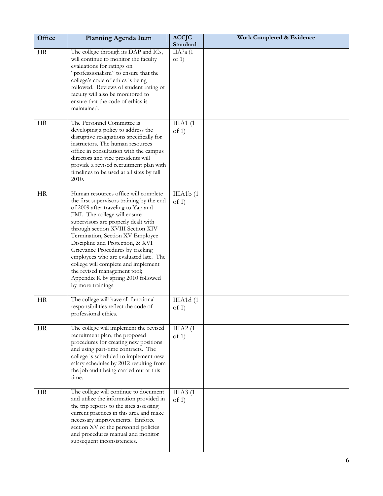| Office    | <b>Planning Agenda Item</b>                                                                                                                                                                                                                                                                                                                                                                                                                                                                                                 | <b>ACCJC</b><br>Standard | Work Completed & Evidence |
|-----------|-----------------------------------------------------------------------------------------------------------------------------------------------------------------------------------------------------------------------------------------------------------------------------------------------------------------------------------------------------------------------------------------------------------------------------------------------------------------------------------------------------------------------------|--------------------------|---------------------------|
| <b>HR</b> | The college through its DAP and ICs,<br>will continue to monitor the faculty<br>evaluations for ratings on<br>"professionalism" to ensure that the<br>college's code of ethics is being<br>followed. Reviews of student rating of<br>faculty will also be monitored to<br>ensure that the code of ethics is<br>maintained.                                                                                                                                                                                                  | IIA7a (1<br>of 1)        |                           |
| <b>HR</b> | The Personnel Committee is<br>developing a policy to address the<br>disruptive resignations specifically for<br>instructors. The human resources<br>office in consultation with the campus<br>directors and vice presidents will<br>provide a revised recruitment plan with<br>timelines to be used at all sites by fall<br>2010.                                                                                                                                                                                           | IIIA1(1)<br>of $1)$      |                           |
| <b>HR</b> | Human resources office will complete<br>the first supervisors training by the end<br>of 2009 after traveling to Yap and<br>FMI. The college will ensure<br>supervisors are properly dealt with<br>through section XVIII Section XIV<br>Termination, Section XV Employee<br>Discipline and Protection, & XVI<br>Grievance Procedures by tracking<br>employees who are evaluated late. The<br>college will complete and implement<br>the revised management tool;<br>Appendix K by spring 2010 followed<br>by more trainings. | IIIA1b(1)<br>of 1)       |                           |
| HR        | The college will have all functional<br>responsibilities reflect the code of<br>professional ethics.                                                                                                                                                                                                                                                                                                                                                                                                                        | IIIA1d(1)<br>of $1)$     |                           |
| HR        | The college will implement the revised<br>recruitment plan, the proposed<br>procedures for creating new positions<br>and using part-time contracts. The<br>college is scheduled to implement new<br>salary schedules by 2012 resulting from<br>the job audit being carried out at this<br>time.                                                                                                                                                                                                                             | IIIA2(1)<br>of 1)        |                           |
| <b>HR</b> | The college will continue to document<br>and utilize the information provided in<br>the trip reports to the sites assessing<br>current practices in this area and make<br>necessary improvements. Enforce<br>section XV of the personnel policies<br>and procedures manual and monitor<br>subsequent inconsistencies.                                                                                                                                                                                                       | IIIA $3(1)$<br>of 1)     |                           |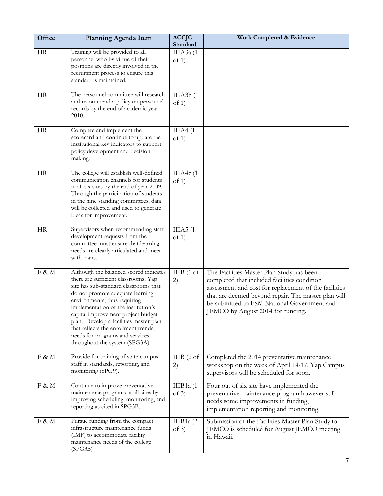| Office    | <b>Planning Agenda Item</b>                                                                                                                                                                                                                                                                                                                                                                                                     | <b>ACCJC</b><br>Standard | Work Completed & Evidence                                                                                                                                                                                                                                                                     |
|-----------|---------------------------------------------------------------------------------------------------------------------------------------------------------------------------------------------------------------------------------------------------------------------------------------------------------------------------------------------------------------------------------------------------------------------------------|--------------------------|-----------------------------------------------------------------------------------------------------------------------------------------------------------------------------------------------------------------------------------------------------------------------------------------------|
| <b>HR</b> | Training will be provided to all<br>personnel who by virtue of their<br>positions are directly involved in the<br>recruitment process to ensure this<br>standard is maintained.                                                                                                                                                                                                                                                 | ШАЗа (1<br>of $1)$       |                                                                                                                                                                                                                                                                                               |
| <b>HR</b> | The personnel committee will research<br>and recommend a policy on personnel<br>records by the end of academic year<br>2010.                                                                                                                                                                                                                                                                                                    | IIIA3b(1)<br>of $1)$     |                                                                                                                                                                                                                                                                                               |
| <b>HR</b> | Complete and implement the<br>scorecard and continue to update the<br>institutional key indicators to support<br>policy development and decision<br>making.                                                                                                                                                                                                                                                                     | IIIA4(1)<br>of $1)$      |                                                                                                                                                                                                                                                                                               |
| <b>HR</b> | The college will establish well-defined<br>communication channels for students<br>in all six sites by the end of year 2009.<br>Through the participation of students<br>in the nine standing committees, data<br>will be collected and used to generate<br>ideas for improvement.                                                                                                                                               | IIIA4c(1)<br>of 1)       |                                                                                                                                                                                                                                                                                               |
| HR        | Supervisors when recommending staff<br>development requests from the<br>committee must ensure that learning<br>needs are clearly articulated and meet<br>with plans.                                                                                                                                                                                                                                                            | IIIA5(1)<br>of 1)        |                                                                                                                                                                                                                                                                                               |
| F & M     | Although the balanced scored indicates<br>there are sufficient classrooms, Yap<br>site has sub-standard classrooms that<br>do not promote adequate learning<br>environments, thus requiring<br>implementation of the institution's<br>capital improvement project budget<br>plan. Develop a facilities master plan<br>that reflects the enrollment trends,<br>needs for programs and services<br>throughout the system (SPG3A). | IIIB(1 of<br>2)          | The Facilities Master Plan Study has been<br>completed that included facilities condition<br>assessment and cost for replacement of the facilities<br>that are deemed beyond repair. The master plan will<br>be submitted to FSM National Government and<br>JEMCO by August 2014 for funding. |
| F & M     | Provide for training of state campus<br>staff in standards, reporting, and<br>monitoring (SPG9).                                                                                                                                                                                                                                                                                                                                | IIIB(2 of<br>2)          | Completed the 2014 preventative maintenance<br>workshop on the week of April 14-17. Yap Campus<br>supervisors will be scheduled for soon.                                                                                                                                                     |
| F & M     | Continue to improve preventative<br>maintenance programs at all sites by<br>improving scheduling, monitoring, and<br>reporting as cited in SPG3B.                                                                                                                                                                                                                                                                               | IIIB1 $a(1)$<br>of $3)$  | Four out of six site have implemented the<br>preventative maintenance program however still<br>needs some improvements in funding,<br>implementation reporting and monitoring.                                                                                                                |
| F & M     | Pursue funding from the compact<br>infrastructure maintenance funds<br>(IMF) to accommodate facility<br>maintenance needs of the college<br>(SPG3B)                                                                                                                                                                                                                                                                             | IIIB1a $(2)$<br>of 3)    | Submission of the Facilities Master Plan Study to<br>JEMCO is scheduled for August JEMCO meeting<br>in Hawaii.                                                                                                                                                                                |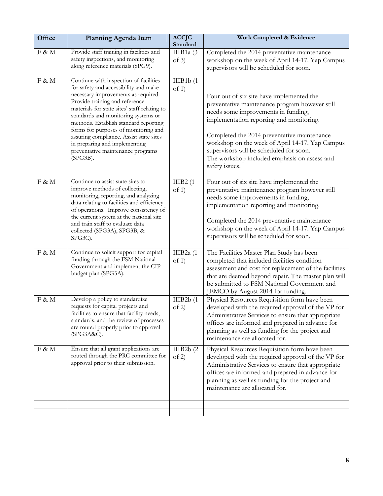| Office   | Planning Agenda Item                                                                                                                                                                                                                                                                                                                                                                                                                                             | <b>ACCJC</b><br>Standard | Work Completed & Evidence                                                                                                                                                                                                                                                                                                                                                                     |
|----------|------------------------------------------------------------------------------------------------------------------------------------------------------------------------------------------------------------------------------------------------------------------------------------------------------------------------------------------------------------------------------------------------------------------------------------------------------------------|--------------------------|-----------------------------------------------------------------------------------------------------------------------------------------------------------------------------------------------------------------------------------------------------------------------------------------------------------------------------------------------------------------------------------------------|
| F & M    | Provide staff training in facilities and<br>safety inspections, and monitoring<br>along reference materials (SPG9).                                                                                                                                                                                                                                                                                                                                              | IIIB1 $a(3)$<br>of $3)$  | Completed the 2014 preventative maintenance<br>workshop on the week of April 14-17. Yap Campus<br>supervisors will be scheduled for soon.                                                                                                                                                                                                                                                     |
| F & M    | Continue with inspection of facilities<br>for safety and accessibility and make<br>necessary improvements as required.<br>Provide training and reference<br>materials for state sites' staff relating to<br>standards and monitoring systems or<br>methods. Establish standard reporting<br>forms for purposes of monitoring and<br>assuring compliance. Assist state sites<br>in preparing and implementing<br>preventative maintenance programs<br>$(SPG3B)$ . | IIIB1b(1)<br>of 1)       | Four out of six site have implemented the<br>preventative maintenance program however still<br>needs some improvements in funding,<br>implementation reporting and monitoring.<br>Completed the 2014 preventative maintenance<br>workshop on the week of April 14-17. Yap Campus<br>supervisors will be scheduled for soon.<br>The workshop included emphasis on assess and<br>safety issues. |
| F & M    | Continue to assist state sites to<br>improve methods of collecting,<br>monitoring, reporting, and analyzing<br>data relating to facilities and efficiency<br>of operations. Improve consistency of<br>the current system at the national site<br>and train staff to evaluate data<br>collected (SPG3A), SPG3B, &<br>SPG3C).                                                                                                                                      | IIIB2(1)<br>of 1)        | Four out of six site have implemented the<br>preventative maintenance program however still<br>needs some improvements in funding,<br>implementation reporting and monitoring.<br>Completed the 2014 preventative maintenance<br>workshop on the week of April 14-17. Yap Campus<br>supervisors will be scheduled for soon.                                                                   |
| F & M    | Continue to solicit support for capital<br>funding through the FSM National<br>Government and implement the CIP<br>budget plan (SPG3A).                                                                                                                                                                                                                                                                                                                          | IIIB2a $(1)$<br>of 1)    | The Facilities Master Plan Study has been<br>completed that included facilities condition<br>assessment and cost for replacement of the facilities<br>that are deemed beyond repair. The master plan will<br>be submitted to FSM National Government and<br>JEMCO by August 2014 for funding.                                                                                                 |
| $F \& M$ | Develop a policy to standardize<br>requests for capital projects and<br>facilities to ensure that facility needs,<br>standards, and the review of processes<br>are routed properly prior to approval<br>(SPG3A&C).                                                                                                                                                                                                                                               | IIIB2b(1)<br>of 2)       | Physical Resources Requisition form have been<br>developed with the required approval of the VP for<br>Administrative Services to ensure that appropriate<br>offices are informed and prepared in advance for<br>planning as well as funding for the project and<br>maintenance are allocated for.                                                                                            |
| F & M    | Ensure that all grant applications are<br>routed through the PRC committee for<br>approval prior to their submission.                                                                                                                                                                                                                                                                                                                                            | IIIB2b(2)<br>of $2)$     | Physical Resources Requisition form have been<br>developed with the required approval of the VP for<br>Administrative Services to ensure that appropriate<br>offices are informed and prepared in advance for<br>planning as well as funding for the project and<br>maintenance are allocated for.                                                                                            |
|          |                                                                                                                                                                                                                                                                                                                                                                                                                                                                  |                          |                                                                                                                                                                                                                                                                                                                                                                                               |
|          |                                                                                                                                                                                                                                                                                                                                                                                                                                                                  |                          |                                                                                                                                                                                                                                                                                                                                                                                               |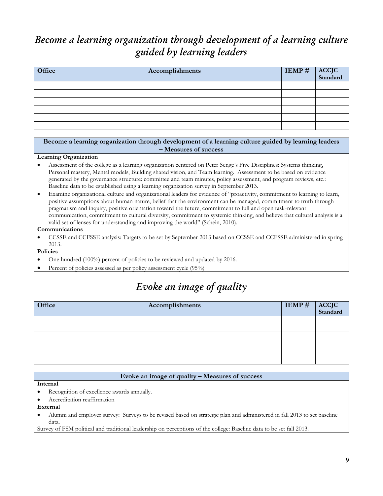## *Become a learning organization through development of a learning culture guided by learning leaders*

| Office | Accomplishments | <b>IEMP # ACCJC</b><br>Standard |  |
|--------|-----------------|---------------------------------|--|
|        |                 |                                 |  |
|        |                 |                                 |  |
|        |                 |                                 |  |
|        |                 |                                 |  |
|        |                 |                                 |  |
|        |                 |                                 |  |

### **Become a learning organization through development of a learning culture guided by learning leaders – Measures of success**

#### **Learning Organization**

- Assessment of the college as a learning organization centered on Peter Senge's Five Disciplines: Systems thinking, Personal mastery, Mental models, Building shared vision, and Team learning. Assessment to be based on evidence generated by the governance structure: committee and team minutes, policy assessment, and program reviews, etc.: Baseline data to be established using a learning organization survey in September 2013.
- Examine organizational culture and organizational leaders for evidence of "proactivity, commitment to learning to learn, positive assumptions about human nature, belief that the environment can be managed, commitment to truth through pragmatism and inquiry, positive orientation toward the future, commitment to full and open task-relevant communication, commitment to cultural diversity, commitment to systemic thinking, and believe that cultural analysis is a valid set of lenses for understanding and improving the world" (Schein, 2010).

#### **Communications**

 CCSSE and CCFSSE analysis: Targets to be set by September 2013 based on CCSSE and CCFSSE administered in spring 2013.

### **Policies**

- One hundred (100%) percent of policies to be reviewed and updated by 2016.
- Percent of policies assessed as per policy assessment cycle (95%)

## *Evoke an image of quality*

| Office | Accomplishments | $IEMP \#$ | ACCJC<br>Standard |
|--------|-----------------|-----------|-------------------|
|        |                 |           |                   |
|        |                 |           |                   |
|        |                 |           |                   |
|        |                 |           |                   |
|        |                 |           |                   |
|        |                 |           |                   |
|        |                 |           |                   |

### **Evoke an image of quality – Measures of success**

#### **Internal**

- Recognition of excellence awards annually.
- Accreditation reaffirmation

#### **External**

 Alumni and employer survey: Surveys to be revised based on strategic plan and administered in fall 2013 to set baseline data.

Survey of FSM political and traditional leadership on perceptions of the college: Baseline data to be set fall 2013.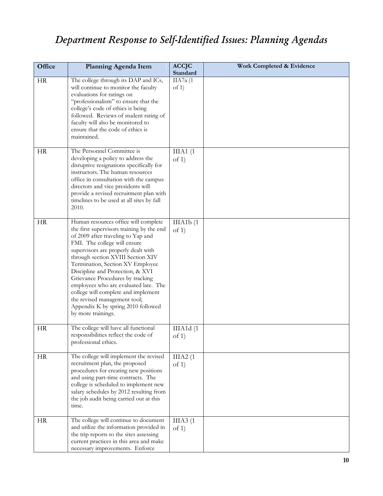# *Department Response to Self-Identified Issues: Planning Agendas*

| Office    | <b>Planning Agenda Item</b>                                                                                                                                                                                                                                                                                                                                                                                                                                                                                                 | <b>ACCJC</b><br><b>Standard</b> | Work Completed & Evidence |
|-----------|-----------------------------------------------------------------------------------------------------------------------------------------------------------------------------------------------------------------------------------------------------------------------------------------------------------------------------------------------------------------------------------------------------------------------------------------------------------------------------------------------------------------------------|---------------------------------|---------------------------|
| HR        | The college through its DAP and ICs,<br>will continue to monitor the faculty<br>evaluations for ratings on<br>"professionalism" to ensure that the<br>college's code of ethics is being<br>followed. Reviews of student rating of<br>faculty will also be monitored to<br>ensure that the code of ethics is<br>maintained.                                                                                                                                                                                                  | IIA7a (1<br>of 1)               |                           |
| <b>HR</b> | The Personnel Committee is<br>developing a policy to address the<br>disruptive resignations specifically for<br>instructors. The human resources<br>office in consultation with the campus<br>directors and vice presidents will<br>provide a revised recruitment plan with<br>timelines to be used at all sites by fall<br>2010.                                                                                                                                                                                           | IIIA1(1)<br>of 1)               |                           |
| <b>HR</b> | Human resources office will complete<br>the first supervisors training by the end<br>of 2009 after traveling to Yap and<br>FMI. The college will ensure<br>supervisors are properly dealt with<br>through section XVIII Section XIV<br>Termination, Section XV Employee<br>Discipline and Protection, & XVI<br>Grievance Procedures by tracking<br>employees who are evaluated late. The<br>college will complete and implement<br>the revised management tool;<br>Appendix K by spring 2010 followed<br>by more trainings. | IIIA1b(1)<br>of 1)              |                           |
| <b>HR</b> | The college will have all functional<br>responsibilities reflect the code of<br>professional ethics.                                                                                                                                                                                                                                                                                                                                                                                                                        | IIIA1d(1)<br>of 1)              |                           |
| HR        | The college will implement the revised<br>recruitment plan, the proposed<br>procedures for creating new positions<br>and using part-time contracts. The<br>college is scheduled to implement new<br>salary schedules by 2012 resulting from<br>the job audit being carried out at this<br>time.                                                                                                                                                                                                                             | IIIA2(1)<br>of $1)$             |                           |
| HR        | The college will continue to document<br>and utilize the information provided in<br>the trip reports to the sites assessing<br>current practices in this area and make<br>necessary improvements. Enforce                                                                                                                                                                                                                                                                                                                   | IIIA3(1)<br>of 1)               |                           |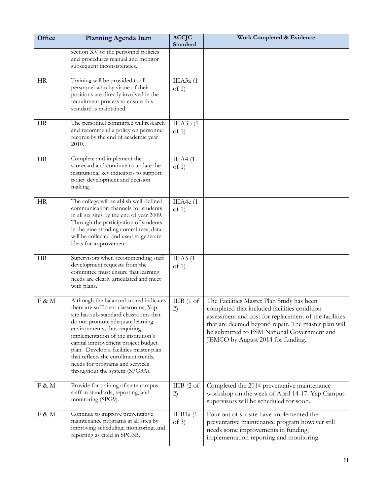| Office    | <b>Planning Agenda Item</b>                                                                                                                                                                                                                                                                                                                                                                                                     | <b>ACCJC</b><br>Standard | Work Completed & Evidence                                                                                                                                                                                                                                                                     |
|-----------|---------------------------------------------------------------------------------------------------------------------------------------------------------------------------------------------------------------------------------------------------------------------------------------------------------------------------------------------------------------------------------------------------------------------------------|--------------------------|-----------------------------------------------------------------------------------------------------------------------------------------------------------------------------------------------------------------------------------------------------------------------------------------------|
|           | section XV of the personnel policies<br>and procedures manual and monitor<br>subsequent inconsistencies.                                                                                                                                                                                                                                                                                                                        |                          |                                                                                                                                                                                                                                                                                               |
| <b>HR</b> | Training will be provided to all<br>personnel who by virtue of their<br>positions are directly involved in the<br>recruitment process to ensure this<br>standard is maintained.                                                                                                                                                                                                                                                 | ШАЗа (1<br>of $1)$       |                                                                                                                                                                                                                                                                                               |
| <b>HR</b> | The personnel committee will research<br>and recommend a policy on personnel<br>records by the end of academic year<br>2010.                                                                                                                                                                                                                                                                                                    | IIIA3b(1)<br>of 1)       |                                                                                                                                                                                                                                                                                               |
| <b>HR</b> | Complete and implement the<br>scorecard and continue to update the<br>institutional key indicators to support<br>policy development and decision<br>making.                                                                                                                                                                                                                                                                     | IIIA4(1)<br>of $1)$      |                                                                                                                                                                                                                                                                                               |
| <b>HR</b> | The college will establish well-defined<br>communication channels for students<br>in all six sites by the end of year 2009.<br>Through the participation of students<br>in the nine standing committees, data<br>will be collected and used to generate<br>ideas for improvement.                                                                                                                                               | IIIA4c(1)<br>of 1)       |                                                                                                                                                                                                                                                                                               |
| HR        | Supervisors when recommending staff<br>development requests from the<br>committee must ensure that learning<br>needs are clearly articulated and meet<br>with plans.                                                                                                                                                                                                                                                            | IIIA5(1)<br>of $1)$      |                                                                                                                                                                                                                                                                                               |
| F & M     | Although the balanced scored indicates<br>there are sufficient classrooms, Yap<br>site has sub-standard classrooms that<br>do not promote adequate learning<br>environments, thus requiring<br>implementation of the institution's<br>capital improvement project budget<br>plan. Develop a facilities master plan<br>that reflects the enrollment trends,<br>needs for programs and services<br>throughout the system (SPG3A). | IIIB(1 of<br>2)          | The Facilities Master Plan Study has been<br>completed that included facilities condition<br>assessment and cost for replacement of the facilities<br>that are deemed beyond repair. The master plan will<br>be submitted to FSM National Government and<br>JEMCO by August 2014 for funding. |
| F & M     | Provide for training of state campus<br>staff in standards, reporting, and<br>monitoring (SPG9).                                                                                                                                                                                                                                                                                                                                | IIIB(2 of<br>2)          | Completed the 2014 preventative maintenance<br>workshop on the week of April 14-17. Yap Campus<br>supervisors will be scheduled for soon.                                                                                                                                                     |
| F & M     | Continue to improve preventative<br>maintenance programs at all sites by<br>improving scheduling, monitoring, and<br>reporting as cited in SPG3B.                                                                                                                                                                                                                                                                               | IIIB1a $(1)$<br>of $3)$  | Four out of six site have implemented the<br>preventative maintenance program however still<br>needs some improvements in funding,<br>implementation reporting and monitoring.                                                                                                                |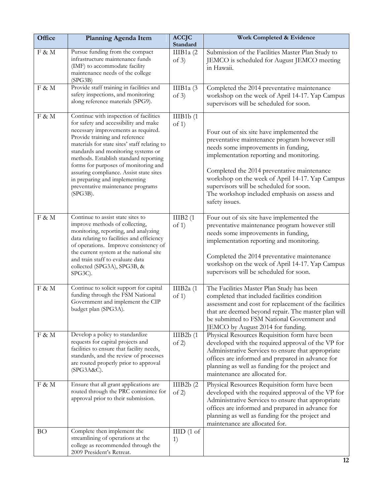| Office | Planning Agenda Item                                                                                                                                                                                                                                                                                                                                                                                                                                             | <b>ACCJC</b><br>Standard | Work Completed & Evidence                                                                                                                                                                                                                                                                                                                                                                     |
|--------|------------------------------------------------------------------------------------------------------------------------------------------------------------------------------------------------------------------------------------------------------------------------------------------------------------------------------------------------------------------------------------------------------------------------------------------------------------------|--------------------------|-----------------------------------------------------------------------------------------------------------------------------------------------------------------------------------------------------------------------------------------------------------------------------------------------------------------------------------------------------------------------------------------------|
| F & M  | Pursue funding from the compact<br>infrastructure maintenance funds<br>(IMF) to accommodate facility<br>maintenance needs of the college<br>(SPG3B)                                                                                                                                                                                                                                                                                                              | IIIB1a $(2)$<br>of $3)$  | Submission of the Facilities Master Plan Study to<br>JEMCO is scheduled for August JEMCO meeting<br>in Hawaii.                                                                                                                                                                                                                                                                                |
| F & M  | Provide staff training in facilities and<br>safety inspections, and monitoring<br>along reference materials (SPG9).                                                                                                                                                                                                                                                                                                                                              | IIIB1a $(3)$<br>of $3)$  | Completed the 2014 preventative maintenance<br>workshop on the week of April 14-17. Yap Campus<br>supervisors will be scheduled for soon.                                                                                                                                                                                                                                                     |
| F & M  | Continue with inspection of facilities<br>for safety and accessibility and make<br>necessary improvements as required.<br>Provide training and reference<br>materials for state sites' staff relating to<br>standards and monitoring systems or<br>methods. Establish standard reporting<br>forms for purposes of monitoring and<br>assuring compliance. Assist state sites<br>in preparing and implementing<br>preventative maintenance programs<br>$(SPG3B)$ . | IIIB1b(1)<br>of 1)       | Four out of six site have implemented the<br>preventative maintenance program however still<br>needs some improvements in funding,<br>implementation reporting and monitoring.<br>Completed the 2014 preventative maintenance<br>workshop on the week of April 14-17. Yap Campus<br>supervisors will be scheduled for soon.<br>The workshop included emphasis on assess and<br>safety issues. |
| F & M  | Continue to assist state sites to<br>improve methods of collecting,<br>monitoring, reporting, and analyzing<br>data relating to facilities and efficiency<br>of operations. Improve consistency of<br>the current system at the national site<br>and train staff to evaluate data<br>collected (SPG3A), SPG3B, &<br>SPG3C).                                                                                                                                      | IIIB2(1)<br>of 1)        | Four out of six site have implemented the<br>preventative maintenance program however still<br>needs some improvements in funding,<br>implementation reporting and monitoring.<br>Completed the 2014 preventative maintenance<br>workshop on the week of April 14-17. Yap Campus<br>supervisors will be scheduled for soon.                                                                   |
| F & M  | Continue to solicit support for capital<br>funding through the FSM National<br>Government and implement the CIP<br>budget plan (SPG3A).                                                                                                                                                                                                                                                                                                                          | IIIB2a $(1)$<br>of 1)    | The Facilities Master Plan Study has been<br>completed that included facilities condition<br>assessment and cost for replacement of the facilities<br>that are deemed beyond repair. The master plan will<br>be submitted to FSM National Government and<br>JEMCO by August 2014 for funding.                                                                                                 |
| F & M  | Develop a policy to standardize<br>requests for capital projects and<br>facilities to ensure that facility needs,<br>standards, and the review of processes<br>are routed properly prior to approval<br>(SPG3A&C).                                                                                                                                                                                                                                               | IIIB2b(1)<br>of 2)       | Physical Resources Requisition form have been<br>developed with the required approval of the VP for<br>Administrative Services to ensure that appropriate<br>offices are informed and prepared in advance for<br>planning as well as funding for the project and<br>maintenance are allocated for.                                                                                            |
| F & M  | Ensure that all grant applications are<br>routed through the PRC committee for<br>approval prior to their submission.                                                                                                                                                                                                                                                                                                                                            | IIIB2b(2)<br>of $2)$     | Physical Resources Requisition form have been<br>developed with the required approval of the VP for<br>Administrative Services to ensure that appropriate<br>offices are informed and prepared in advance for<br>planning as well as funding for the project and<br>maintenance are allocated for.                                                                                            |
| BO     | Complete then implement the<br>streamlining of operations at the<br>college as recommended through the<br>2009 President's Retreat.                                                                                                                                                                                                                                                                                                                              | $\text{HID}$ (1 of<br>1) |                                                                                                                                                                                                                                                                                                                                                                                               |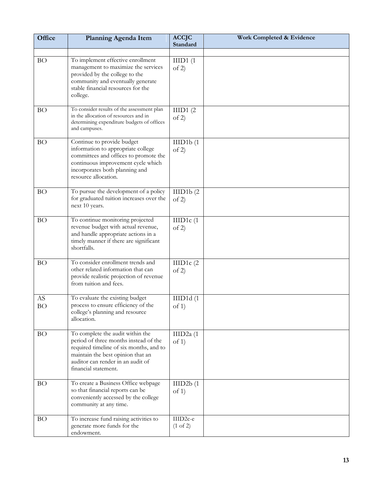| Office          | Planning Agenda Item                                                                                                                                                                                                   | <b>ACCJC</b><br>Standard        | Work Completed & Evidence |
|-----------------|------------------------------------------------------------------------------------------------------------------------------------------------------------------------------------------------------------------------|---------------------------------|---------------------------|
| <b>BO</b>       | To implement effective enrollment<br>management to maximize the services<br>provided by the college to the<br>community and eventually generate<br>stable financial resources for the<br>college.                      | HID1(1)<br>of $2)$              |                           |
| <b>BO</b>       | To consider results of the assessment plan<br>in the allocation of resources and in<br>determining expenditure budgets of offices<br>and campuses.                                                                     | IIID1(2)<br>of 2)               |                           |
| <b>BO</b>       | Continue to provide budget<br>information to appropriate college<br>committees and offices to promote the<br>continuous improvement cycle which<br>incorporates both planning and<br>resource allocation.              | IIID1b(1)<br>of 2)              |                           |
| <b>BO</b>       | To pursue the development of a policy<br>for graduated tuition increases over the<br>next 10 years.                                                                                                                    | IIID1b(2)<br>of 2)              |                           |
| <b>BO</b>       | To continue monitoring projected<br>revenue budget with actual revenue,<br>and handle appropriate actions in a<br>timely manner if there are significant<br>shortfalls.                                                | IIID1c(1)<br>of 2)              |                           |
| <b>BO</b>       | To consider enrollment trends and<br>other related information that can<br>provide realistic projection of revenue<br>from tuition and fees.                                                                           | IIID1 $c(2)$<br>of 2)           |                           |
| AS<br><b>BO</b> | To evaluate the existing budget<br>process to ensure efficiency of the<br>college's planning and resource<br>allocation.                                                                                               | IIID1d(1)<br>of $1)$            |                           |
| <b>BO</b>       | To complete the audit within the<br>period of three months instead of the<br>required timeline of six months, and to<br>maintain the best opinion that an<br>auditor can render in an audit of<br>financial statement. | IIID $2a(1)$<br>of $1$ )        |                           |
| <b>BO</b>       | To create a Business Office webpage<br>so that financial reports can be<br>conveniently accessed by the college<br>community at any time.                                                                              | IIID2b(1)<br>of 1)              |                           |
| <b>BO</b>       | To increase fund raising activities to<br>generate more funds for the<br>endowment.                                                                                                                                    | IIID2c-e<br>$(1 \text{ of } 2)$ |                           |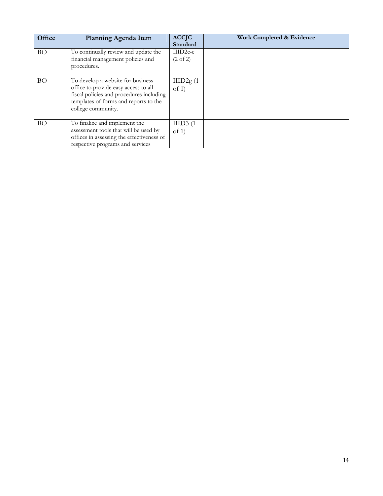| Office    | Planning Agenda Item                                                                                                                                                                 | <b>ACCJC</b><br>Standard          | Work Completed & Evidence |
|-----------|--------------------------------------------------------------------------------------------------------------------------------------------------------------------------------------|-----------------------------------|---------------------------|
| <b>BO</b> | To continually review and update the<br>financial management policies and<br>procedures.                                                                                             | $IIID2c-e$<br>$(2 \text{ of } 2)$ |                           |
| <b>BO</b> | To develop a website for business<br>office to provide easy access to all<br>fiscal policies and procedures including<br>templates of forms and reports to the<br>college community. | IIID2g(1)<br>of $1$               |                           |
| <b>BO</b> | To finalize and implement the<br>assessment tools that will be used by<br>offices in assessing the effectiveness of<br>respective programs and services                              | IIID3(1)<br>of $1$ )              |                           |